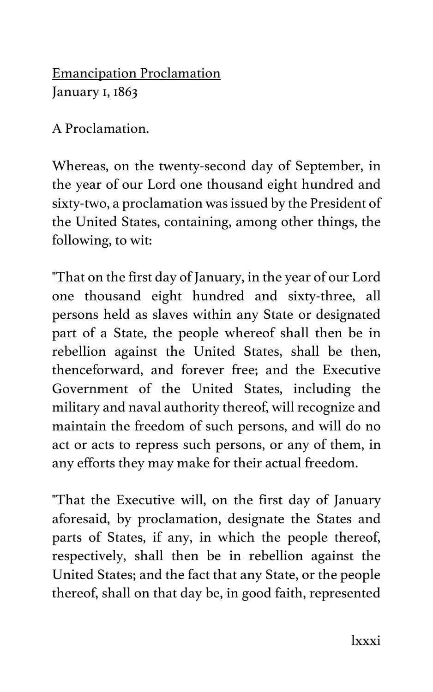Emancipation Proclamation January 1, 1863

A Proclamation.

Whereas, on the twenty-second day of September, in the year of our Lord one thousand eight hundred and sixty-two, a proclamation was issued by the President of the United States, containing, among other things, the following, to wit:

"That on the first day of January, in the year of our Lord one thousand eight hundred and sixty-three, all persons held as slaves within any State or designated part of a State, the people whereof shall then be in rebellion against the United States, shall be then, thenceforward, and forever free; and the Executive Government of the United States, including the military and naval authority thereof, will recognize and maintain the freedom of such persons, and will do no act or acts to repress such persons, or any of them, in any efforts they may make for their actual freedom.

"That the Executive will, on the first day of January aforesaid, by proclamation, designate the States and parts of States, if any, in which the people thereof, respectively, shall then be in rebellion against the United States; and the fact that any State, or the people thereof, shall on that day be, in good faith, represented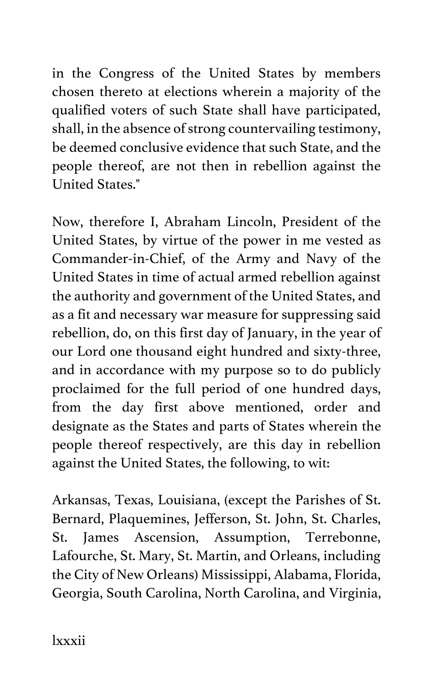in the Congress of the United States by members chosen thereto at elections wherein a majority of the qualified voters of such State shall have participated, shall, in the absence of strong countervailing testimony, be deemed conclusive evidence that such State, and the people thereof, are not then in rebellion against the United States."

Now, therefore I, Abraham Lincoln, President of the United States, by virtue of the power in me vested as Commander-in-Chief, of the Army and Navy of the United States in time of actual armed rebellion against the authority and government of the United States, and as a fit and necessary war measure for suppressing said rebellion, do, on this first day of January, in the year of our Lord one thousand eight hundred and sixty-three, and in accordance with my purpose so to do publicly proclaimed for the full period of one hundred days, from the day first above mentioned, order and designate as the States and parts of States wherein the people thereof respectively, are this day in rebellion against the United States, the following, to wit:

Arkansas, Texas, Louisiana, (except the Parishes of St. Bernard, Plaquemines, Jefferson, St. John, St. Charles, St. James Ascension, Assumption, Terrebonne, Lafourche, St. Mary, St. Martin, and Orleans, including the City of New Orleans) Mississippi, Alabama, Florida, Georgia, South Carolina, North Carolina, and Virginia,

lxxxii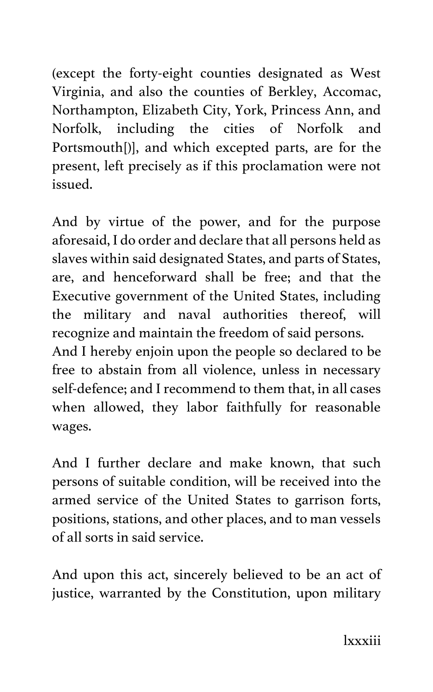(except the forty-eight counties designated as West Virginia, and also the counties of Berkley, Accomac, Northampton, Elizabeth City, York, Princess Ann, and Norfolk, including the cities of Norfolk and Portsmouth[)], and which excepted parts, are for the present, left precisely as if this proclamation were not issued.

And by virtue of the power, and for the purpose aforesaid, I do order and declare that all persons held as slaves within said designated States, and parts of States, are, and henceforward shall be free; and that the Executive government of the United States, including the military and naval authorities thereof, will recognize and maintain the freedom of said persons.

And I hereby enjoin upon the people so declared to be free to abstain from all violence, unless in necessary self-defence; and I recommend to them that, in all cases when allowed, they labor faithfully for reasonable wages.

And I further declare and make known, that such persons of suitable condition, will be received into the armed service of the United States to garrison forts, positions, stations, and other places, and to man vessels of all sorts in said service.

And upon this act, sincerely believed to be an act of justice, warranted by the Constitution, upon military